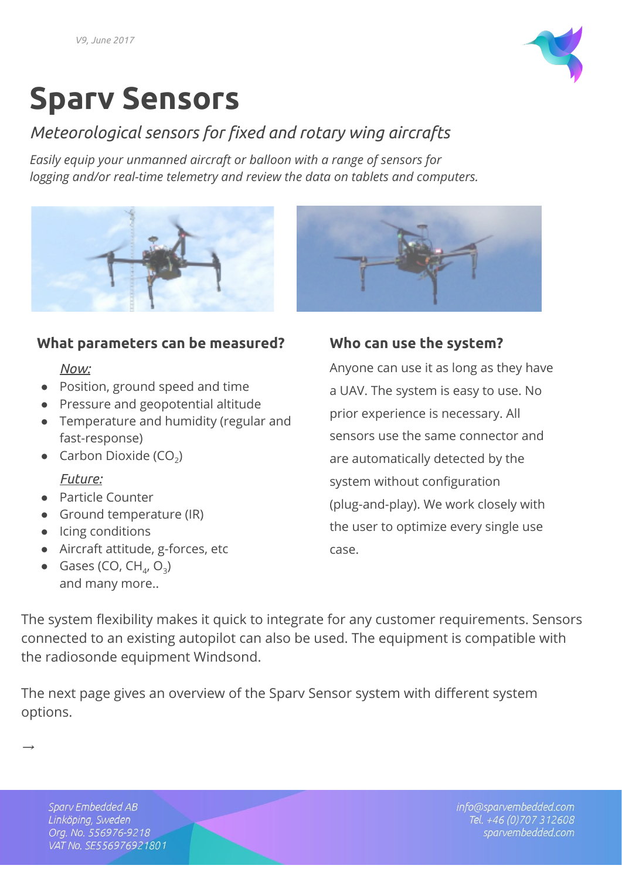

# **Sparv Sensors**

## *Meteorological sensors for fixed and rotary wing aircrafts*

*Easily equip your unmanned aircraft or balloon with a range of sensors for logging and/or real-time telemetry and review the data on tablets and computers.*



### **What parameters can be measured?**

#### *Now:*

- Position, ground speed and time
- Pressure and geopotential altitude
- Temperature and humidity (regular and fast-response)
- Carbon Dioxide (CO<sub>2</sub>)

#### *Future:*

- Particle Counter
- Ground temperature (IR)
- Icing conditions
- Aircraft attitude, g-forces, etc
- Gases (CO,  $CH_4$ , O<sub>3</sub>) and many more..



## **Who can use the system?**

Anyone can use it as long as they have a UAV. The system is easy to use. No prior experience is necessary. All sensors use the same connector and are automatically detected by the system without configuration (plug-and-play). We work closely with the user to optimize every single use case.

The system flexibility makes it quick to integrate for any customer requirements. Sensors connected to an existing autopilot can also be used. The equipment is compatible with the radiosonde equipment Windsond.

The next page gives an overview of the Sparv Sensor system with different system options.

Sparv Embedded AB Linköping, Sweden Org. No. 556976-9218 VAT No. SE556976921801

→

info@sparvembedded.com Tel. +46 (0) 707 312608 sparvembedded.com